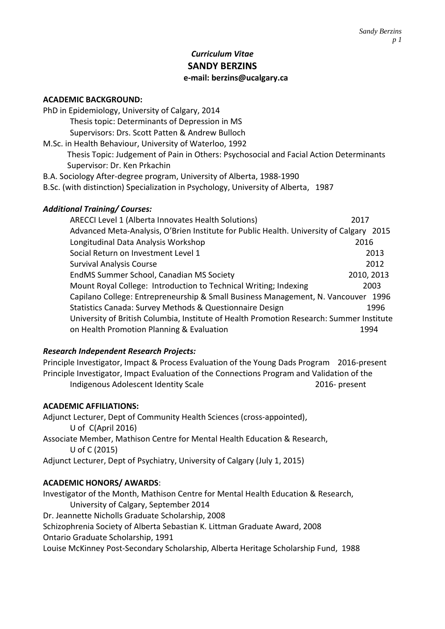# *Curriculum Vitae* **SANDY BERZINS e-mail: berzins@ucalgary.ca**

### **ACADEMIC BACKGROUND:**

- PhD in Epidemiology, University of Calgary, 2014 Thesis topic: Determinants of Depression in MS Supervisors: Drs. Scott Patten & Andrew Bulloch M.Sc. in Health Behaviour, University of Waterloo, 1992 Thesis Topic: Judgement of Pain in Others: Psychosocial and Facial Action Determinants Supervisor: Dr. Ken Prkachin B.A. Sociology After-degree program, University of Alberta, 1988-1990
- B.Sc. (with distinction) Specialization in Psychology, University of Alberta, 1987

### *Additional Training/ Courses:*

| ARECCI Level 1 (Alberta Innovates Health Solutions)                                      | 2017       |  |
|------------------------------------------------------------------------------------------|------------|--|
| Advanced Meta-Analysis, O'Brien Institute for Public Health. University of Calgary 2015  |            |  |
| Longitudinal Data Analysis Workshop                                                      | 2016       |  |
| Social Return on Investment Level 1                                                      | 2013       |  |
| <b>Survival Analysis Course</b>                                                          | 2012       |  |
| EndMS Summer School, Canadian MS Society                                                 | 2010, 2013 |  |
| Mount Royal College: Introduction to Technical Writing; Indexing                         | 2003       |  |
| Capilano College: Entrepreneurship & Small Business Management, N. Vancouver<br>1996     |            |  |
| Statistics Canada: Survey Methods & Questionnaire Design                                 | 1996       |  |
| University of British Columbia, Institute of Health Promotion Research: Summer Institute |            |  |
| on Health Promotion Planning & Evaluation                                                | 1994       |  |

## *Research Independent Research Projects:*

Principle Investigator, Impact & Process Evaluation of the Young Dads Program 2016-present Principle Investigator, Impact Evaluation of the Connections Program and Validation of the Indigenous Adolescent Identity Scale 2016- present

### **ACADEMIC AFFILIATIONS:**

Adjunct Lecturer, Dept of Community Health Sciences (cross-appointed), U of C(April 2016) Associate Member, Mathison Centre for Mental Health Education & Research, U of C (2015)

Adjunct Lecturer, Dept of Psychiatry, University of Calgary (July 1, 2015)

### **ACADEMIC HONORS/ AWARDS**:

Investigator of the Month, Mathison Centre for Mental Health Education & Research, University of Calgary, September 2014 Dr. Jeannette Nicholls Graduate Scholarship, 2008 Schizophrenia Society of Alberta Sebastian K. Littman Graduate Award, 2008

Ontario Graduate Scholarship, 1991

Louise McKinney Post-Secondary Scholarship, Alberta Heritage Scholarship Fund, 1988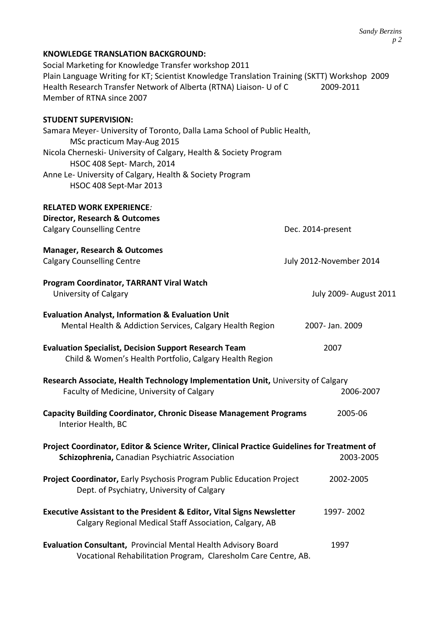| Social Marketing for Knowledge Transfer workshop 2011<br>Plain Language Writing for KT; Scientist Knowledge Translation Training (SKTT) Workshop 2009<br>Health Research Transfer Network of Alberta (RTNA) Liaison- U of C<br>Member of RTNA since 2007 | 2009-2011                     |
|----------------------------------------------------------------------------------------------------------------------------------------------------------------------------------------------------------------------------------------------------------|-------------------------------|
| <b>STUDENT SUPERVISION:</b>                                                                                                                                                                                                                              |                               |
| Samara Meyer- University of Toronto, Dalla Lama School of Public Health,<br>MSc practicum May-Aug 2015                                                                                                                                                   |                               |
| Nicola Cherneski- University of Calgary, Health & Society Program<br>HSOC 408 Sept-March, 2014                                                                                                                                                           |                               |
| Anne Le- University of Calgary, Health & Society Program<br>HSOC 408 Sept-Mar 2013                                                                                                                                                                       |                               |
| <b>RELATED WORK EXPERIENCE:</b>                                                                                                                                                                                                                          |                               |
| Director, Research & Outcomes                                                                                                                                                                                                                            |                               |
| <b>Calgary Counselling Centre</b>                                                                                                                                                                                                                        | Dec. 2014-present             |
| <b>Manager, Research &amp; Outcomes</b>                                                                                                                                                                                                                  |                               |
| <b>Calgary Counselling Centre</b>                                                                                                                                                                                                                        | July 2012-November 2014       |
| Program Coordinator, TARRANT Viral Watch                                                                                                                                                                                                                 |                               |
| University of Calgary                                                                                                                                                                                                                                    | <b>July 2009- August 2011</b> |
| <b>Evaluation Analyst, Information &amp; Evaluation Unit</b><br>Mental Health & Addiction Services, Calgary Health Region                                                                                                                                | 2007- Jan. 2009               |
| <b>Evaluation Specialist, Decision Support Research Team</b><br>Child & Women's Health Portfolio, Calgary Health Region                                                                                                                                  | 2007                          |
| Research Associate, Health Technology Implementation Unit, University of Calgary                                                                                                                                                                         |                               |
| Faculty of Medicine, University of Calgary                                                                                                                                                                                                               | 2006-2007                     |
| <b>Capacity Building Coordinator, Chronic Disease Management Programs</b><br>Interior Health, BC                                                                                                                                                         | 2005-06                       |
| Project Coordinator, Editor & Science Writer, Clinical Practice Guidelines for Treatment of<br>Schizophrenia, Canadian Psychiatric Association                                                                                                           | 2003-2005                     |
| Project Coordinator, Early Psychosis Program Public Education Project<br>Dept. of Psychiatry, University of Calgary                                                                                                                                      | 2002-2005                     |
| <b>Executive Assistant to the President &amp; Editor, Vital Signs Newsletter</b><br>Calgary Regional Medical Staff Association, Calgary, AB                                                                                                              | 1997-2002                     |
| Evaluation Consultant, Provincial Mental Health Advisory Board<br>Vocational Rehabilitation Program, Claresholm Care Centre, AB.                                                                                                                         | 1997                          |

**KNOWLEDGE TRANSLATION BACKGROUND:**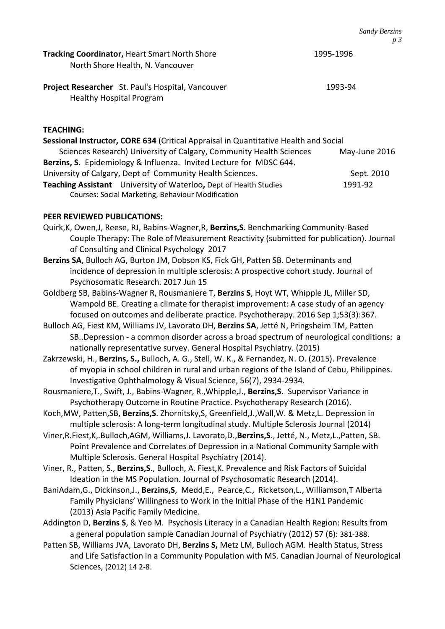| <b>Tracking Coordinator, Heart Smart North Shore</b>                                        | $\nu \sim$ |
|---------------------------------------------------------------------------------------------|------------|
| North Shore Health, N. Vancouver                                                            | 1995-1996  |
| <b>Project Researcher</b> St. Paul's Hospital, Vancouver<br><b>Healthy Hospital Program</b> | 1993-94    |

# **TEACHING:**

**Sessional Instructor, CORE 634** (Critical Appraisal in Quantitative Health and Social Sciences Research) University of Calgary, Community Health Sciences May-June 2016 **Berzins, S.** Epidemiology & Influenza. Invited Lecture for MDSC 644. University of Calgary, Dept of Community Health Sciences. Sept. 2010 **Teaching Assistant** University of Waterloo, Dept of Health Studies 1991-92 Courses: Social Marketing, Behaviour Modification

## **PEER REVIEWED PUBLICATIONS:**

- Quirk,K, Owen,J, Reese, RJ, Babins-Wagner,R, **Berzins,S**. Benchmarking Community-Based Couple Therapy: The Role of Measurement Reactivity (submitted for publication). Journal of Consulting and Clinical Psychology 2017
- **Berzins SA**, Bulloch AG, Burton JM, Dobson KS, Fick GH, Patten SB. Determinants and incidence of depression in multiple sclerosis: A prospective cohort study. Journal of Psychosomatic Research. 2017 Jun 15
- Goldberg SB, Babins-Wagner R, Rousmaniere T, **Berzins S**, Hoyt WT, Whipple JL, Miller SD, Wampold BE. Creating a climate for therapist improvement: A case study of an agency focused on outcomes and deliberate practice. Psychotherapy. 2016 Sep 1;53(3):367.
- Bulloch AG, Fiest KM, Williams JV, Lavorato DH, **Berzins SA**, Jetté N, Pringsheim TM, Patten SB..Depression - a common disorder across a broad spectrum of neurological conditions: a nationally representative survey. General Hospital Psychiatry. (2015)
- Zakrzewski, H., **Berzins, S.,** Bulloch, A. G., Stell, W. K., & Fernandez, N. O. (2015). Prevalence of myopia in school children in rural and urban regions of the Island of Cebu, Philippines. Investigative Ophthalmology & Visual Science, 56(7), 2934-2934.
- Rousmaniere,T., Swift, J., Babins-Wagner, R.,Whipple,J., **Berzins,S.** Supervisor Variance in Psychotherapy Outcome in Routine Practice. Psychotherapy Research (2016).
- Koch,MW, Patten,SB, **Berzins,S**. Zhornitsky,S, Greenfield,J.,Wall,W. & Metz,L. Depression in multiple sclerosis: A long-term longitudinal study. Multiple Sclerosis Journal (2014)
- Viner,R.Fiest,K,.Bulloch,AGM, Williams,J. Lavorato,D.,**Berzins,S**., Jetté, N., Metz,L.,Patten, SB. Point Prevalence and Correlates of Depression in a National Community Sample with Multiple Sclerosis. General Hospital Psychiatry (2014).
- Viner, R., Patten, S., **Berzins,S**., Bulloch, A. Fiest,K. Prevalence and Risk Factors of Suicidal Ideation in the MS Population. Journal of Psychosomatic Research (2014).
- BaniAdam,G., Dickinson,J., **Berzins,S**, Medd,E., Pearce,C., Ricketson,L., Williamson,T Alberta Family Physicians' Willingness to Work in the Initial Phase of the H1N1 Pandemic (2013) Asia Pacific Family Medicine.
- Addington D, **Berzins S**, & Yeo M. Psychosis Literacy in a Canadian Health Region: Results from a general population sample Canadian Journal of Psychiatry (2012) 57 (6): 381-388.
- Patten SB, Williams JVA, Lavorato DH, **Berzins S,** Metz LM, Bulloch AGM. Health Status, Stress and Life Satisfaction in a Community Population with MS. Canadian Journal of Neurological Sciences, (2012) 14 2-8.

*Sandy Berzins p 3*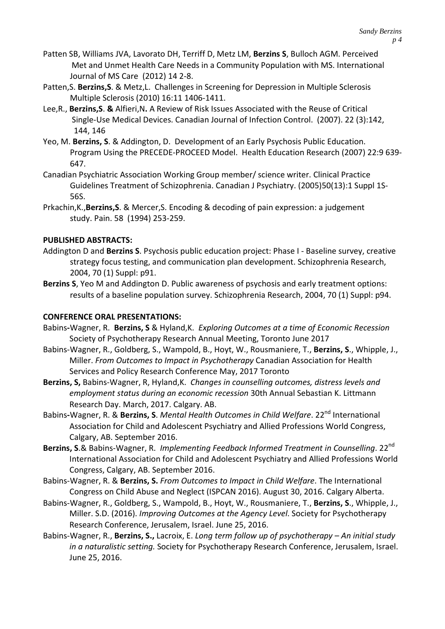- Patten SB, Williams JVA, Lavorato DH, Terriff D, Metz LM, **Berzins S**, Bulloch AGM. Perceived Met and Unmet Health Care Needs in a Community Population with MS. International Journal of MS Care (2012) 14 2-8.
- Patten,S. **Berzins,S**. & Metz,L. Challenges in Screening for Depression in Multiple Sclerosis Multiple Sclerosis (2010) 16:11 1406-1411.
- Lee,R., **Berzins,S**. **&** Alfieri,N**.** A Review of Risk Issues Associated with the Reuse of Critical Single-Use Medical Devices. Canadian Journal of Infection Control. (2007). 22 (3):142, 144, 146
- Yeo, M. **Berzins, S**. & Addington, D. Development of an Early Psychosis Public Education. Program Using the PRECEDE-PROCEED Model. Health Education Research (2007) 22:9 639- 647.
- Canadian Psychiatric Association Working Group member/ science writer. Clinical Practice Guidelines Treatment of Schizophrenia. Canadian J Psychiatry. (2005)50(13):1 Suppl 1S-56S.
- Prkachin,K.,**Berzins,S**. & Mercer,S. Encoding & decoding of pain expression: a judgement study. Pain. 58 (1994) 253-259.

# **PUBLISHED ABSTRACTS:**

- Addington D and **Berzins S**. Psychosis public education project: Phase I Baseline survey, creative strategy focus testing, and communication plan development. Schizophrenia Research, 2004, 70 (1) Suppl: p91.
- **Berzins S**, Yeo M and Addington D. Public awareness of psychosis and early treatment options: results of a baseline population survey. Schizophrenia Research, 2004, 70 (1) Suppl: p94.

## **CONFERENCE ORAL PRESENTATIONS:**

- Babins**-**Wagner, R. **Berzins, S** & Hyland,K. *Exploring Outcomes at a time of Economic Recession* Society of Psychotherapy Research Annual Meeting, Toronto June 2017
- Babins-Wagner, R., Goldberg, S., Wampold, B., Hoyt, W., Rousmaniere, T., **Berzins, S**., Whipple, J., Miller. *From Outcomes to Impact in Psychotherapy* Canadian Association for Health Services and Policy Research Conference May, 2017 Toronto
- **Berzins, S,** Babins-Wagner, R, Hyland,K. *Changes in counselling outcomes, distress levels and employment status during an economic recession* 30th Annual Sebastian K. Littmann Research Day. March, 2017. Calgary. AB.
- Babins**-**Wagner, R. & **Berzins, S**. *Mental Health Outcomes in Child Welfare*. 22nd International Association for Child and Adolescent Psychiatry and Allied Professions World Congress, Calgary, AB. September 2016.
- Berzins, S.& Babins-Wagner, R. *Implementing Feedback Informed Treatment in Counselling*. 22<sup>nd</sup> International Association for Child and Adolescent Psychiatry and Allied Professions World Congress, Calgary, AB. September 2016.
- Babins-Wagner, R. & **Berzins, S.** *From Outcomes to Impact in Child Welfare*. The International Congress on Child Abuse and Neglect (ISPCAN 2016). August 30, 2016. Calgary Alberta.
- Babins-Wagner, R., Goldberg, S., Wampold, B., Hoyt, W., Rousmaniere, T., **Berzins, S**., Whipple, J., Miller. S.D. (2016). *Improving Outcomes at the Agency Level*. Society for Psychotherapy Research Conference, Jerusalem, Israel. June 25, 2016.
- Babins-Wagner, R., **Berzins, S.,** Lacroix, E. *Long term follow up of psychotherapy – An initial study in a naturalistic setting.* Society for Psychotherapy Research Conference, Jerusalem, Israel. June 25, 2016.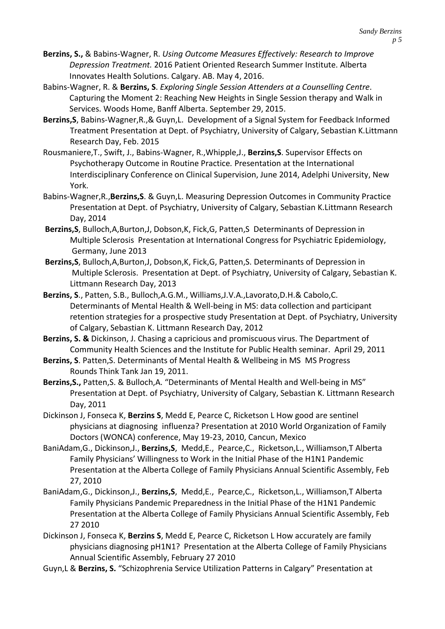- **Berzins, S.,** & Babins-Wagner, R. *Using Outcome Measures Effectively: Research to Improve Depression Treatment.* 2016 Patient Oriented Research Summer Institute. Alberta Innovates Health Solutions. Calgary. AB. May 4, 2016.
- Babins-Wagner, R. & **Berzins, S**. *Exploring Single Session Attenders at a Counselling Centre*. Capturing the Moment 2: Reaching New Heights in Single Session therapy and Walk in Services. Woods Home, Banff Alberta. September 29, 2015.
- **Berzins,S**, Babins-Wagner,R.,& Guyn,L. Development of a Signal System for Feedback Informed Treatment Presentation at Dept. of Psychiatry, University of Calgary, Sebastian K.Littmann Research Day, Feb. 2015
- Rousmaniere,T., Swift, J., Babins-Wagner, R.,Whipple,J., **Berzins,S**. Supervisor Effects on Psychotherapy Outcome in Routine Practice*.* Presentation at the International Interdisciplinary Conference on Clinical Supervision, June 2014, Adelphi University, New York.
- Babins-Wagner,R.,**Berzins,S**. & Guyn,L. Measuring Depression Outcomes in Community Practice Presentation at Dept. of Psychiatry, University of Calgary, Sebastian K.Littmann Research Day, 2014
- **Berzins,S**, Bulloch,A,Burton,J, Dobson,K, Fick,G, Patten,S Determinants of Depression in Multiple Sclerosis Presentation at International Congress for Psychiatric Epidemiology, Germany, June 2013
- **Berzins,S**, Bulloch,A,Burton,J, Dobson,K, Fick,G, Patten,S. Determinants of Depression in Multiple Sclerosis. Presentation at Dept. of Psychiatry, University of Calgary, Sebastian K. Littmann Research Day, 2013
- **Berzins, S**., Patten, S.B., Bulloch,A.G.M., Williams,J.V.A.,Lavorato,D.H.& Cabolo,C. Determinants of Mental Health & Well-being in MS: data collection and participant retention strategies for a prospective study Presentation at Dept. of Psychiatry, University of Calgary, Sebastian K. Littmann Research Day, 2012
- **Berzins, S. &** Dickinson, J. Chasing a capricious and promiscuous virus. The Department of Community Health Sciences and the Institute for Public Health seminar. April 29, 2011
- **Berzins, S**. Patten,S. Determinants of Mental Health & Wellbeing in MS MS Progress Rounds Think Tank Jan 19, 2011.
- **Berzins,S.,** Patten,S. & Bulloch,A. "Determinants of Mental Health and Well-being in MS" Presentation at Dept. of Psychiatry, University of Calgary, Sebastian K. Littmann Research Day, 2011
- Dickinson J, Fonseca K, **Berzins S**, Medd E, Pearce C, Ricketson L How good are sentinel physicians at diagnosing influenza? Presentation at 2010 World Organization of Family Doctors (WONCA) conference, May 19-23, 2010, Cancun, Mexico
- BaniAdam,G., Dickinson,J., **Berzins,S**, Medd,E., Pearce,C., Ricketson,L., Williamson,T Alberta Family Physicians' Willingness to Work in the Initial Phase of the H1N1 Pandemic Presentation at the Alberta College of Family Physicians Annual Scientific Assembly, Feb 27, 2010
- BaniAdam,G., Dickinson,J., **Berzins,S**, Medd,E., Pearce,C., Ricketson,L., Williamson,T Alberta Family Physicians Pandemic Preparedness in the Initial Phase of the H1N1 Pandemic Presentation at the Alberta College of Family Physicians Annual Scientific Assembly, Feb 27 2010
- Dickinson J, Fonseca K, **Berzins S**, Medd E, Pearce C, Ricketson L How accurately are family physicians diagnosing pH1N1? Presentation at the Alberta College of Family Physicians Annual Scientific Assembly, February 27 2010
- Guyn,L & **Berzins, S.** "Schizophrenia Service Utilization Patterns in Calgary" Presentation at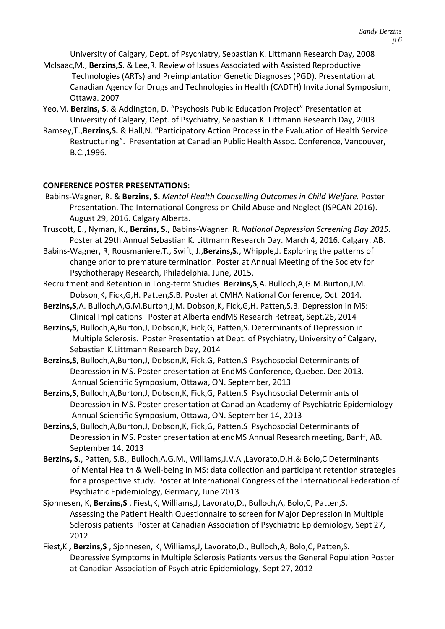University of Calgary, Dept. of Psychiatry, Sebastian K. Littmann Research Day, 2008

- McIsaac,M., **Berzins,S**. & Lee,R. Review of Issues Associated with Assisted Reproductive Technologies (ARTs) and Preimplantation Genetic Diagnoses (PGD). Presentation at Canadian Agency for Drugs and Technologies in Health (CADTH) Invitational Symposium, Ottawa. 2007
- Yeo,M. **Berzins, S**. & Addington, D. "Psychosis Public Education Project" Presentation at University of Calgary, Dept. of Psychiatry, Sebastian K. Littmann Research Day, 2003
- Ramsey,T.,**Berzins,S.** & Hall,N. "Participatory Action Process in the Evaluation of Health Service Restructuring". Presentation at Canadian Public Health Assoc. Conference, Vancouver, B.C.,1996.

## **CONFERENCE POSTER PRESENTATIONS:**

- Babins-Wagner, R. & **Berzins, S.** *Mental Health Counselling Outcomes in Child Welfare.* Poster Presentation. The International Congress on Child Abuse and Neglect (ISPCAN 2016). August 29, 2016. Calgary Alberta.
- Truscott, E., Nyman, K., **Berzins, S.,** Babins-Wagner. R. *National Depression Screening Day 2015*. Poster at 29th Annual Sebastian K. Littmann Research Day. March 4, 2016. Calgary. AB.
- Babins-Wagner, R, Rousmaniere,T., Swift, J.,**Berzins,S**., Whipple,J. Exploring the patterns of change prior to premature termination. Poster at Annual Meeting of the Society for Psychotherapy Research, Philadelphia. June, 2015.
- Recruitment and Retention in Long-term Studies **Berzins,S**,A. Bulloch,A,G.M.Burton,J,M. Dobson,K, Fick,G,H. Patten,S.B. Poster at CMHA National Conference, Oct. 2014.
- **Berzins,S**,A. Bulloch,A,G.M.Burton,J,M. Dobson,K, Fick,G,H. Patten,S.B. Depression in MS: Clinical Implications Poster at Alberta endMS Research Retreat, Sept.26, 2014
- **Berzins,S**, Bulloch,A,Burton,J, Dobson,K, Fick,G, Patten,S. Determinants of Depression in Multiple Sclerosis. Poster Presentation at Dept. of Psychiatry, University of Calgary, Sebastian K.Littmann Research Day, 2014
- **Berzins,S**, Bulloch,A,Burton,J, Dobson,K, Fick,G, Patten,S Psychosocial Determinants of Depression in MS. Poster presentation at EndMS Conference, Quebec. Dec 2013. Annual Scientific Symposium, Ottawa, ON. September, 2013
- **Berzins,S**, Bulloch,A,Burton,J, Dobson,K, Fick,G, Patten,S Psychosocial Determinants of Depression in MS. Poster presentation at Canadian Academy of Psychiatric Epidemiology Annual Scientific Symposium, Ottawa, ON. September 14, 2013
- **Berzins,S**, Bulloch,A,Burton,J, Dobson,K, Fick,G, Patten,S Psychosocial Determinants of Depression in MS. Poster presentation at endMS Annual Research meeting, Banff, AB. September 14, 2013
- **Berzins, S**., Patten, S.B., Bulloch,A.G.M., Williams,J.V.A.,Lavorato,D.H.& Bolo,C Determinants of Mental Health & Well-being in MS: data collection and participant retention strategies for a prospective study. Poster at International Congress of the International Federation of Psychiatric Epidemiology, Germany, June 2013
- Sjonnesen, K, **Berzins,S** , Fiest,K, Williams,J, Lavorato,D., Bulloch,A, Bolo,C, Patten,S. Assessing the Patient Health Questionnaire to screen for Major Depression in Multiple Sclerosis patients Poster at Canadian Association of Psychiatric Epidemiology, Sept 27, 2012
- Fiest,K **, Berzins,S** , Sjonnesen, K, Williams,J, Lavorato,D., Bulloch,A, Bolo,C, Patten,S. Depressive Symptoms in Multiple Sclerosis Patients versus the General Population Poster at Canadian Association of Psychiatric Epidemiology, Sept 27, 2012